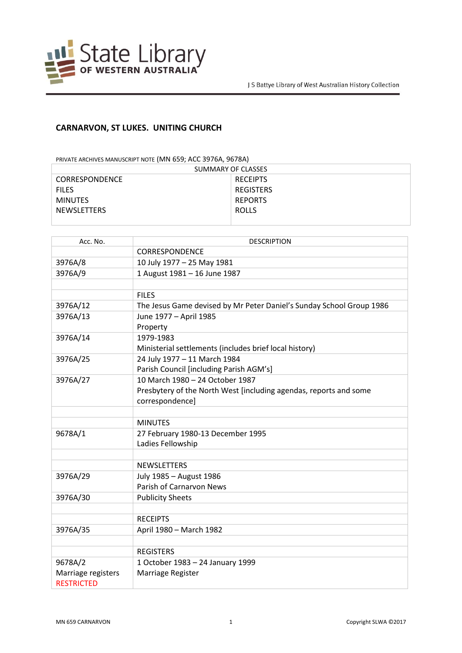

## **CARNARVON, ST LUKES. UNITING CHURCH**

PRIVATE ARCHIVES MANUSCRIPT NOTE (MN 659; ACC 3976A, 9678A)

| SUMMARY OF CLASSES    |                  |
|-----------------------|------------------|
| <b>CORRESPONDENCE</b> | <b>RECEIPTS</b>  |
| <b>FILES</b>          | <b>REGISTERS</b> |
| <b>MINUTES</b>        | <b>REPORTS</b>   |
| <b>NEWSLETTERS</b>    | <b>ROLLS</b>     |
|                       |                  |

| Acc. No.                                | <b>DESCRIPTION</b>                                                   |
|-----------------------------------------|----------------------------------------------------------------------|
|                                         | CORRESPONDENCE                                                       |
| 3976A/8                                 | 10 July 1977 - 25 May 1981                                           |
| 3976A/9                                 | 1 August 1981 - 16 June 1987                                         |
|                                         |                                                                      |
|                                         | <b>FILES</b>                                                         |
| 3976A/12                                | The Jesus Game devised by Mr Peter Daniel's Sunday School Group 1986 |
| 3976A/13                                | June 1977 - April 1985                                               |
|                                         | Property                                                             |
| 3976A/14                                | 1979-1983                                                            |
|                                         | Ministerial settlements (includes brief local history)               |
| 3976A/25                                | 24 July 1977 - 11 March 1984                                         |
|                                         | Parish Council [including Parish AGM's]                              |
| 3976A/27                                | 10 March 1980 - 24 October 1987                                      |
|                                         | Presbytery of the North West [including agendas, reports and some    |
|                                         | correspondence]                                                      |
|                                         |                                                                      |
|                                         | <b>MINUTES</b>                                                       |
| 9678A/1                                 | 27 February 1980-13 December 1995                                    |
|                                         | Ladies Fellowship                                                    |
|                                         |                                                                      |
|                                         | <b>NEWSLETTERS</b>                                                   |
| 3976A/29                                | July 1985 - August 1986                                              |
|                                         | <b>Parish of Carnarvon News</b>                                      |
| 3976A/30                                | <b>Publicity Sheets</b>                                              |
|                                         |                                                                      |
|                                         | <b>RECEIPTS</b>                                                      |
| 3976A/35                                | April 1980 - March 1982                                              |
|                                         |                                                                      |
|                                         | <b>REGISTERS</b>                                                     |
| 9678A/2                                 | 1 October 1983 - 24 January 1999                                     |
| Marriage registers<br><b>RESTRICTED</b> | Marriage Register                                                    |